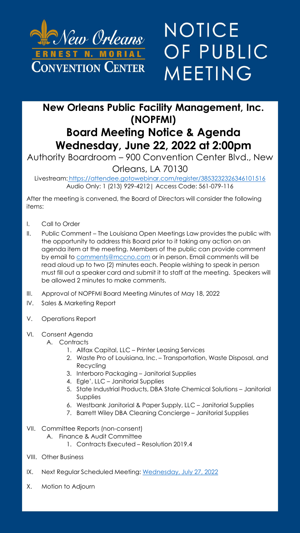

# NOTICE OF PUBLIC MEETING

### **New Orleans Public Facility Management, Inc. (NOPFMI) Board Meeting Notice & Agenda**

## **Wednesday, June 22, 2022 at 2:00pm**

Authority Boardroom – 900 Convention Center Blvd., New Orleans, LA 70130

Livestream: <https://attendee.gotowebinar.com/register/3853232326346101516> Audio Only: 1 (213) 929-4212| Access Code: 561-079-116

After the meeting is convened, the Board of Directors will consider the following items:

- I. Call to Order
- II. Public Comment The Louisiana Open Meetings Law provides the public with the opportunity to address this Board prior to it taking any action on an agenda item at the meeting. Members of the public can provide comment by email to **[comments@mccno.com](mailto:comments@mccno.com)** or in person. Email comments will be read aloud up to two (2) minutes each. People wishing to speak in person must fill out a speaker card and submit it to staff at the meeting. Speakers will be allowed 2 minutes to make comments.
- III. Approval of NOPFMI Board Meeting Minutes of May 18, 2022
- IV. Sales & Marketing Report
- V. Operations Report
- VI. Consent Agenda
	- A. Contracts
		- 1. Allfax Capital, LLC Printer Leasing Services
		- 2. Waste Pro of Louisiana, Inc. Transportation, Waste Disposal, and Recycling
		- 3. Interboro Packaging Janitorial Supplies
		- 4. Egle', LLC Janitorial Supplies
		- 5. State Industrial Products, DBA State Chemical Solutions Janitorial Supplies
		- 6. Westbank Janitorial & Paper Supply, LLC Janitorial Supplies
		- 7. Barrett Wiley DBA Cleaning Concierge Janitorial Supplies
- VII. Committee Reports (non-consent)
	- A. Finance & Audit Committee
		- 1. Contracts Executed Resolution 2019.4
- VIII. Other Business
- IX. Next Regular Scheduled Meeting: Wednesday, July 27, 2022
- X. Motion to Adjourn